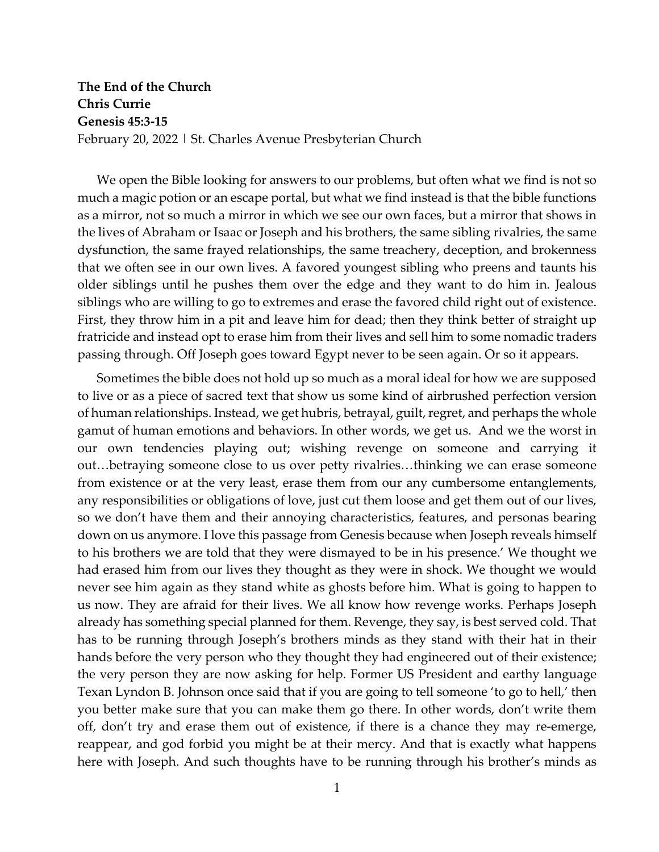## **The End of the Church Chris Currie Genesis 45:3-15** February 20, 2022 | St. Charles Avenue Presbyterian Church

We open the Bible looking for answers to our problems, but often what we find is not so much a magic potion or an escape portal, but what we find instead is that the bible functions as a mirror, not so much a mirror in which we see our own faces, but a mirror that shows in the lives of Abraham or Isaac or Joseph and his brothers, the same sibling rivalries, the same dysfunction, the same frayed relationships, the same treachery, deception, and brokenness that we often see in our own lives. A favored youngest sibling who preens and taunts his older siblings until he pushes them over the edge and they want to do him in. Jealous siblings who are willing to go to extremes and erase the favored child right out of existence. First, they throw him in a pit and leave him for dead; then they think better of straight up fratricide and instead opt to erase him from their lives and sell him to some nomadic traders passing through. Off Joseph goes toward Egypt never to be seen again. Or so it appears.

Sometimes the bible does not hold up so much as a moral ideal for how we are supposed to live or as a piece of sacred text that show us some kind of airbrushed perfection version of human relationships. Instead, we get hubris, betrayal, guilt, regret, and perhaps the whole gamut of human emotions and behaviors. In other words, we get us. And we the worst in our own tendencies playing out; wishing revenge on someone and carrying it out…betraying someone close to us over petty rivalries…thinking we can erase someone from existence or at the very least, erase them from our any cumbersome entanglements, any responsibilities or obligations of love, just cut them loose and get them out of our lives, so we don't have them and their annoying characteristics, features, and personas bearing down on us anymore. I love this passage from Genesis because when Joseph reveals himself to his brothers we are told that they were dismayed to be in his presence.' We thought we had erased him from our lives they thought as they were in shock. We thought we would never see him again as they stand white as ghosts before him. What is going to happen to us now. They are afraid for their lives. We all know how revenge works. Perhaps Joseph already has something special planned for them. Revenge, they say, is best served cold. That has to be running through Joseph's brothers minds as they stand with their hat in their hands before the very person who they thought they had engineered out of their existence; the very person they are now asking for help. Former US President and earthy language Texan Lyndon B. Johnson once said that if you are going to tell someone 'to go to hell,' then you better make sure that you can make them go there. In other words, don't write them off, don't try and erase them out of existence, if there is a chance they may re-emerge, reappear, and god forbid you might be at their mercy. And that is exactly what happens here with Joseph. And such thoughts have to be running through his brother's minds as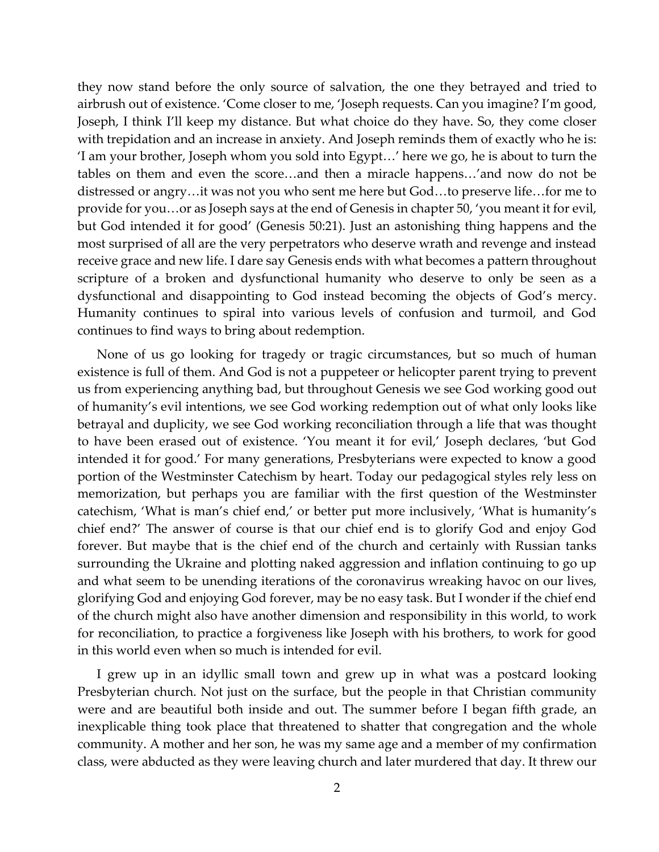they now stand before the only source of salvation, the one they betrayed and tried to airbrush out of existence. 'Come closer to me, 'Joseph requests. Can you imagine? I'm good, Joseph, I think I'll keep my distance. But what choice do they have. So, they come closer with trepidation and an increase in anxiety. And Joseph reminds them of exactly who he is: 'I am your brother, Joseph whom you sold into Egypt…' here we go, he is about to turn the tables on them and even the score…and then a miracle happens…'and now do not be distressed or angry…it was not you who sent me here but God…to preserve life…for me to provide for you…or as Joseph says at the end of Genesis in chapter 50, 'you meant it for evil, but God intended it for good' (Genesis 50:21). Just an astonishing thing happens and the most surprised of all are the very perpetrators who deserve wrath and revenge and instead receive grace and new life. I dare say Genesis ends with what becomes a pattern throughout scripture of a broken and dysfunctional humanity who deserve to only be seen as a dysfunctional and disappointing to God instead becoming the objects of God's mercy. Humanity continues to spiral into various levels of confusion and turmoil, and God continues to find ways to bring about redemption.

None of us go looking for tragedy or tragic circumstances, but so much of human existence is full of them. And God is not a puppeteer or helicopter parent trying to prevent us from experiencing anything bad, but throughout Genesis we see God working good out of humanity's evil intentions, we see God working redemption out of what only looks like betrayal and duplicity, we see God working reconciliation through a life that was thought to have been erased out of existence. 'You meant it for evil,' Joseph declares, 'but God intended it for good.' For many generations, Presbyterians were expected to know a good portion of the Westminster Catechism by heart. Today our pedagogical styles rely less on memorization, but perhaps you are familiar with the first question of the Westminster catechism, 'What is man's chief end,' or better put more inclusively, 'What is humanity's chief end?' The answer of course is that our chief end is to glorify God and enjoy God forever. But maybe that is the chief end of the church and certainly with Russian tanks surrounding the Ukraine and plotting naked aggression and inflation continuing to go up and what seem to be unending iterations of the coronavirus wreaking havoc on our lives, glorifying God and enjoying God forever, may be no easy task. But I wonder if the chief end of the church might also have another dimension and responsibility in this world, to work for reconciliation, to practice a forgiveness like Joseph with his brothers, to work for good in this world even when so much is intended for evil.

I grew up in an idyllic small town and grew up in what was a postcard looking Presbyterian church. Not just on the surface, but the people in that Christian community were and are beautiful both inside and out. The summer before I began fifth grade, an inexplicable thing took place that threatened to shatter that congregation and the whole community. A mother and her son, he was my same age and a member of my confirmation class, were abducted as they were leaving church and later murdered that day. It threw our